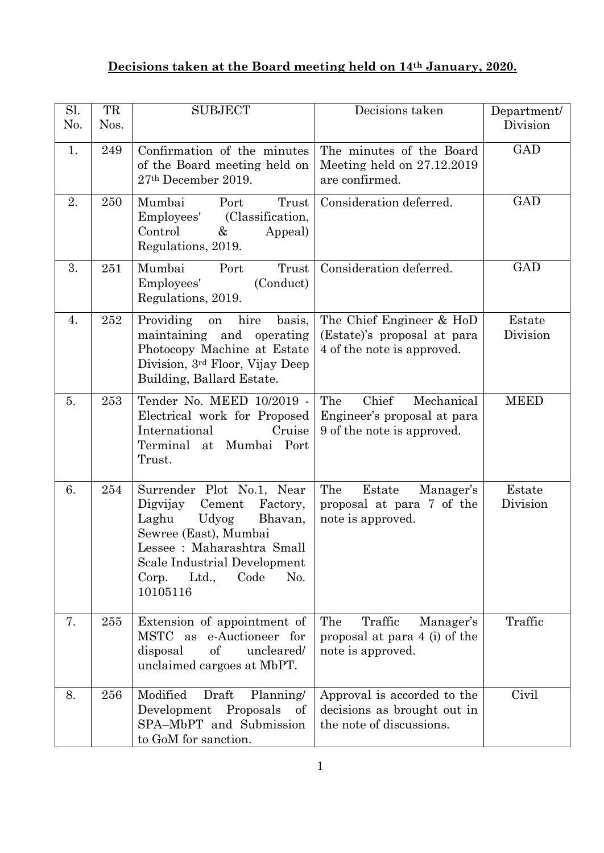## **Decisions taken at the Board meeting held on 14th January, 2020.**

| Sl.<br>No. | TR<br>Nos. | <b>SUBJECT</b>                                                                                                                                                                                                               | Decisions taken                                                                         | Department/<br>Division |
|------------|------------|------------------------------------------------------------------------------------------------------------------------------------------------------------------------------------------------------------------------------|-----------------------------------------------------------------------------------------|-------------------------|
| 1.         | 249        | Confirmation of the minutes<br>of the Board meeting held on<br>27th December 2019.                                                                                                                                           | The minutes of the Board<br>Meeting held on $27.12.2019$<br>are confirmed.              | <b>GAD</b>              |
| 2.         | 250        | Mumbai<br>Trust<br>Port<br>(Classification,<br>Employees'<br>Control<br>&<br>Appeal)<br>Regulations, 2019.                                                                                                                   | Consideration deferred.                                                                 | <b>GAD</b>              |
| 3.         | 251        | Mumbai<br>Trust<br>Port<br>Employees'<br>(Conduct)<br>Regulations, 2019.                                                                                                                                                     | Consideration deferred.                                                                 | <b>GAD</b>              |
| 4.         | 252        | hire<br>Providing<br>basis,<br>on<br>maintaining and operating<br>Photocopy Machine at Estate<br>Division, 3 <sup>rd</sup> Floor, Vijay Deep<br>Building, Ballard Estate.                                                    | The Chief Engineer & HoD<br>(Estate)'s proposal at para<br>4 of the note is approved.   | Estate<br>Division      |
| 5.         | 253        | Tender No. MEED 10/2019 -<br>Electrical work for Proposed<br>International<br>Cruise<br>Terminal<br>at Mumbai Port<br>Trust.                                                                                                 | Chief<br>The<br>Mechanical<br>Engineer's proposal at para<br>9 of the note is approved. | <b>MEED</b>             |
| 6.         | 254        | Surrender Plot No.1, Near<br>Digvijay<br>Cement<br>Factory,<br>Laghu<br>Udyog<br>Bhavan,<br>Sewree (East), Mumbai<br>Lessee : Maharashtra Small<br>Scale Industrial Development<br>Ltd.,<br>Code<br>No.<br>Corp.<br>10105116 | The<br>Estate<br>Manager's<br>proposal at para 7 of the<br>note is approved.            | Estate<br>Division      |
| 7.         | 255        | Extension of appointment of<br>MSTC<br>e-Auctioneer for<br>as<br>of<br>uncleared/<br>disposal<br>unclaimed cargoes at MbPT.                                                                                                  | The<br>Traffic<br>Manager's<br>proposal at para 4 (i) of the<br>note is approved.       | Traffic                 |
| 8.         | 256        | Modified<br>Draft<br>Planning/<br>Development<br>Proposals<br>- of<br>SPA-MbPT and Submission<br>to GoM for sanction.                                                                                                        | Approval is accorded to the<br>decisions as brought out in<br>the note of discussions.  | Civil                   |